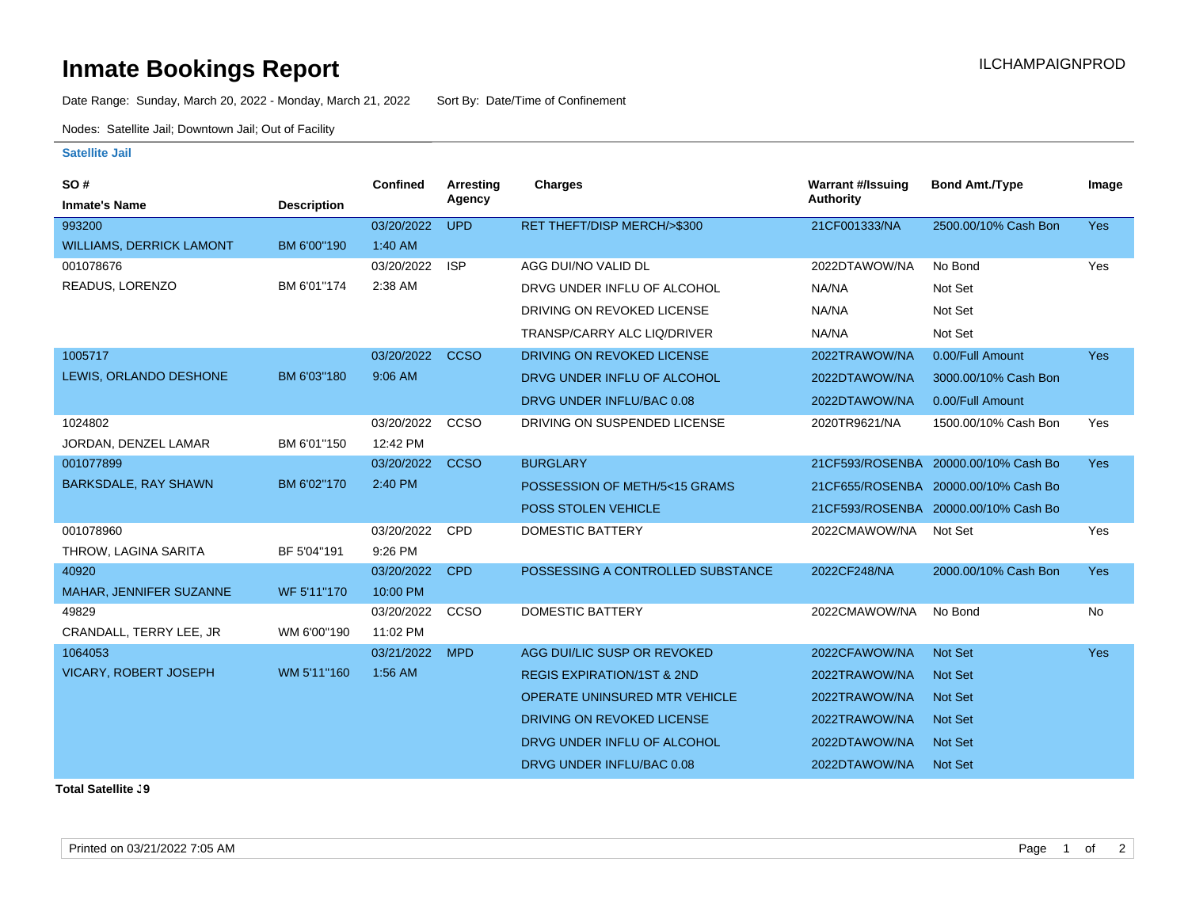## **Inmate Bookings Report International Contract Contract Contract Contract Contract Contract Contract Contract Contract Contract Contract Contract Contract Contract Contract Contract Contract Contract Contract Contract Co**

Date Range: Sunday, March 20, 2022 - Monday, March 21, 2022 Sort By: Date/Time of Confinement

Nodes: Satellite Jail; Downtown Jail; Out of Facility

## **Satellite Jail**

| SO#                             |                    | <b>Confined</b> | Arresting   | Charges                               | <b>Warrant #/Issuing</b> | <b>Bond Amt./Type</b>                | Image      |
|---------------------------------|--------------------|-----------------|-------------|---------------------------------------|--------------------------|--------------------------------------|------------|
| <b>Inmate's Name</b>            | <b>Description</b> |                 | Agency      |                                       | <b>Authority</b>         |                                      |            |
| 993200                          |                    | 03/20/2022      | <b>UPD</b>  | RET THEFT/DISP MERCH/>\$300           | 21CF001333/NA            | 2500.00/10% Cash Bon                 | <b>Yes</b> |
| <b>WILLIAMS, DERRICK LAMONT</b> | BM 6'00"190        | 1:40 AM         |             |                                       |                          |                                      |            |
| 001078676                       |                    | 03/20/2022      | <b>ISP</b>  | AGG DUI/NO VALID DL                   | 2022DTAWOW/NA            | No Bond                              | Yes        |
| READUS, LORENZO                 | BM 6'01"174        | 2:38 AM         |             | DRVG UNDER INFLU OF ALCOHOL           | NA/NA                    | Not Set                              |            |
|                                 |                    |                 |             | DRIVING ON REVOKED LICENSE            | NA/NA                    | Not Set                              |            |
|                                 |                    |                 |             | TRANSP/CARRY ALC LIQ/DRIVER           | NA/NA                    | Not Set                              |            |
| 1005717                         |                    | 03/20/2022      | <b>CCSO</b> | <b>DRIVING ON REVOKED LICENSE</b>     | 2022TRAWOW/NA            | 0.00/Full Amount                     | <b>Yes</b> |
| LEWIS, ORLANDO DESHONE          | BM 6'03"180        | 9:06 AM         |             | DRVG UNDER INFLU OF ALCOHOL           | 2022DTAWOW/NA            | 3000.00/10% Cash Bon                 |            |
|                                 |                    |                 |             | DRVG UNDER INFLU/BAC 0.08             | 2022DTAWOW/NA            | 0.00/Full Amount                     |            |
| 1024802                         |                    | 03/20/2022      | CCSO        | DRIVING ON SUSPENDED LICENSE          | 2020TR9621/NA            | 1500.00/10% Cash Bon                 | Yes        |
| JORDAN, DENZEL LAMAR            | BM 6'01"150        | 12:42 PM        |             |                                       |                          |                                      |            |
| 001077899                       |                    | 03/20/2022      | <b>CCSO</b> | <b>BURGLARY</b>                       |                          | 21CF593/ROSENBA 20000.00/10% Cash Bo | <b>Yes</b> |
| <b>BARKSDALE, RAY SHAWN</b>     | BM 6'02"170        | 2:40 PM         |             | POSSESSION OF METH/5<15 GRAMS         |                          | 21CF655/ROSENBA 20000.00/10% Cash Bo |            |
|                                 |                    |                 |             | <b>POSS STOLEN VEHICLE</b>            |                          | 21CF593/ROSENBA 20000.00/10% Cash Bo |            |
| 001078960                       |                    | 03/20/2022      | CPD         | DOMESTIC BATTERY                      | 2022CMAWOW/NA            | Not Set                              | Yes        |
| THROW, LAGINA SARITA            | BF 5'04"191        | 9:26 PM         |             |                                       |                          |                                      |            |
| 40920                           |                    | 03/20/2022      | <b>CPD</b>  | POSSESSING A CONTROLLED SUBSTANCE     | 2022CF248/NA             | 2000.00/10% Cash Bon                 | <b>Yes</b> |
| MAHAR, JENNIFER SUZANNE         | WF 5'11"170        | 10:00 PM        |             |                                       |                          |                                      |            |
| 49829                           |                    | 03/20/2022      | CCSO        | <b>DOMESTIC BATTERY</b>               | 2022CMAWOW/NA            | No Bond                              | No         |
| CRANDALL, TERRY LEE, JR         | WM 6'00"190        | 11:02 PM        |             |                                       |                          |                                      |            |
| 1064053                         |                    | 03/21/2022      | <b>MPD</b>  | AGG DUI/LIC SUSP OR REVOKED           | 2022CFAWOW/NA            | Not Set                              | <b>Yes</b> |
| VICARY, ROBERT JOSEPH           | WM 5'11"160        | 1:56 AM         |             | <b>REGIS EXPIRATION/1ST &amp; 2ND</b> | 2022TRAWOW/NA            | <b>Not Set</b>                       |            |
|                                 |                    |                 |             | <b>OPERATE UNINSURED MTR VEHICLE</b>  | 2022TRAWOW/NA            | <b>Not Set</b>                       |            |
|                                 |                    |                 |             | DRIVING ON REVOKED LICENSE            | 2022TRAWOW/NA            | <b>Not Set</b>                       |            |
|                                 |                    |                 |             | DRVG UNDER INFLU OF ALCOHOL           | 2022DTAWOW/NA            | <b>Not Set</b>                       |            |
|                                 |                    |                 |             | DRVG UNDER INFLU/BAC 0.08             | 2022DTAWOW/NA            | <b>Not Set</b>                       |            |

**Total Satellite J9**